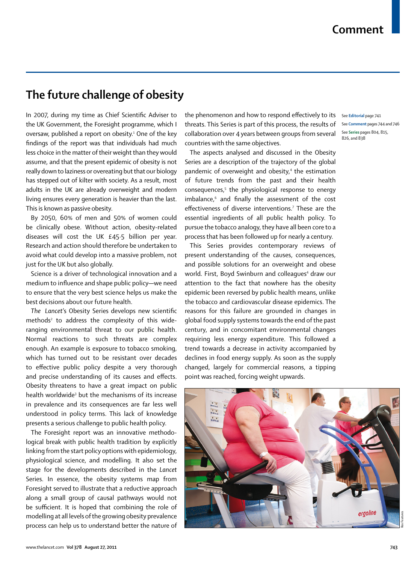## **The future challenge of obesity**

In 2007, during my time as Chief Scientific Adviser to the UK Government, the Foresight programme, which I oversaw, published a report on obesity.<del>'</del> One of the key findings of the report was that individuals had much less choice in the matter of their weight than they would assume, and that the present epidemic of obesity is not really down to laziness or overeating but that our biology has stepped out of kilter with society. As a result, most adults in the UK are already overweight and modern living ensures every generation is heavier than the last. This is known as passive obesity.

By 2050, 60% of men and 50% of women could be clinically obese. Without action, obesity-related diseases will cost the UK £45·5 billion per year. Research and action should therefore be undertaken to avoid what could develop into a massive problem, not just for the UK but also globally.

Science is a driver of technological innovation and a medium to influence and shape public policy—we need to ensure that the very best science helps us make the best decisions about our future health.

The Lancet's Obesity Series develops new scientific methods $^{\text{2}}$  to address the complexity of this wideranging environmental threat to our public health. Normal reactions to such threats are complex enough. An example is exposure to tobacco smoking, which has turned out to be resistant over decades to effective public policy despite a very thorough and precise understanding of its causes and effects. Obesity threatens to have a great impact on public health worldwide<sup>3</sup> but the mechanisms of its increase in prevalence and its consequences are far less well understood in policy terms. This lack of knowledge presents a serious challenge to public health policy.

The Foresight report was an innovative methodological break with public health tradition by explicitly linking from the start policy options with epidemiology, physiological science, and modelling. It also set the stage for the developments described in the *Lancet* Series. In essence, the obesity systems map from Foresight served to illustrate that a reductive approach along a small group of causal pathways would not be sufficient. It is hoped that combining the role of modelling at all levels of the growing obesity prevalence process can help us to understand better the nature of

the phenomenon and how to respond eff ectively to its See **Editorial** page 741 threats. This Series is part of this process, the results of collaboration over 4 years between groups from several countries with the same objectives.

The aspects analysed and discussed in the Obesity Series are a description of the trajectory of the global pandemic of overweight and obesity,<sup>4</sup> the estimation of future trends from the past and their health consequences,5 the physiological response to energy imbalance,<sup>6</sup> and finally the assessment of the cost effectiveness of diverse interventions.<sup>7</sup> These are the essential ingredients of all public health policy. To pursue the tobacco analogy, they have all been core to a process that has been followed up for nearly a century.

This Series provides contemporary reviews of present understanding of the causes, consequences, and possible solutions for an overweight and obese world. First, Boyd Swinburn and colleagues<sup>4</sup> draw our attention to the fact that nowhere has the obesity epidemic been reversed by public health means, unlike the tobacco and cardiovascular disease epidemics. The reasons for this failure are grounded in changes in global food supply systems towards the end of the past century, and in concomitant environmental changes requiring less energy expenditure. This followed a trend towards a decrease in activity accompanied by declines in food energy supply. As soon as the supply changed, largely for commercial reasons, a tipping point was reached, forcing weight upwards.

T.  $\frac{1}{2}$ ergoline

See **Comment** pages 744 and 746 See **Series** pages 804, 815, 826, and 838

Rex Features